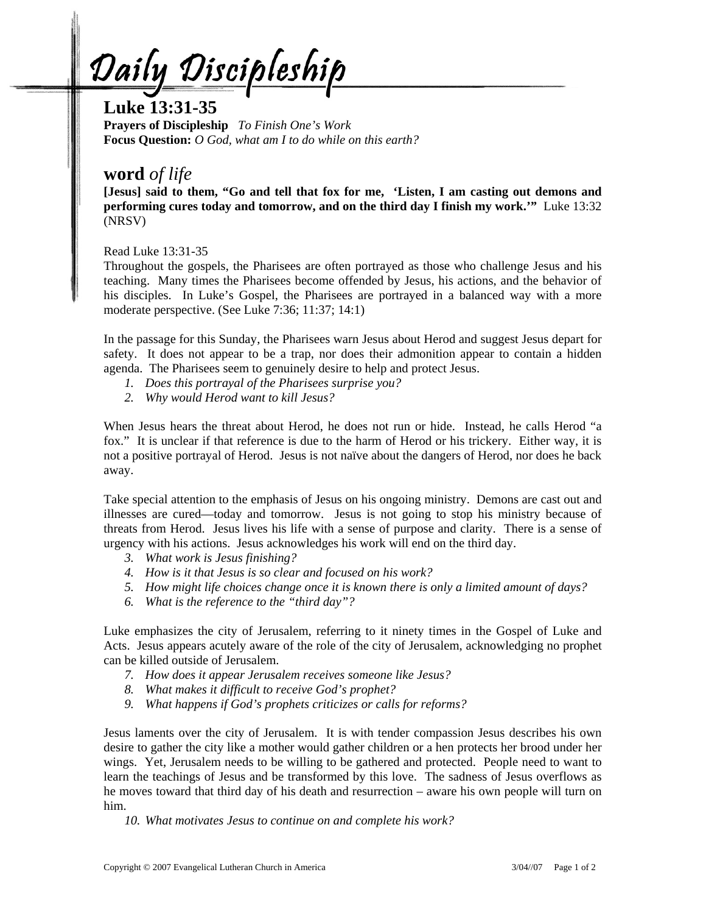Daily Discipleship

# **Luke 13:31-35**

**Prayers of Discipleship** *To Finish One's Work*  **Focus Question:** *O God, what am I to do while on this earth?* 

## **word** *of life*

**[Jesus] said to them, "Go and tell that fox for me, 'Listen, I am casting out demons and performing cures today and tomorrow, and on the third day I finish my work.'"** Luke 13:32 (NRSV)

Read Luke 13:31-35

Throughout the gospels, the Pharisees are often portrayed as those who challenge Jesus and his teaching. Many times the Pharisees become offended by Jesus, his actions, and the behavior of his disciples. In Luke's Gospel, the Pharisees are portrayed in a balanced way with a more moderate perspective. (See Luke 7:36; 11:37; 14:1)

In the passage for this Sunday, the Pharisees warn Jesus about Herod and suggest Jesus depart for safety. It does not appear to be a trap, nor does their admonition appear to contain a hidden agenda. The Pharisees seem to genuinely desire to help and protect Jesus.

- *1. Does this portrayal of the Pharisees surprise you?*
- *2. Why would Herod want to kill Jesus?*

When Jesus hears the threat about Herod, he does not run or hide. Instead, he calls Herod "a fox." It is unclear if that reference is due to the harm of Herod or his trickery. Either way, it is not a positive portrayal of Herod. Jesus is not naïve about the dangers of Herod, nor does he back away.

Take special attention to the emphasis of Jesus on his ongoing ministry. Demons are cast out and illnesses are cured—today and tomorrow. Jesus is not going to stop his ministry because of threats from Herod. Jesus lives his life with a sense of purpose and clarity. There is a sense of urgency with his actions. Jesus acknowledges his work will end on the third day.

- *3. What work is Jesus finishing?*
- *4. How is it that Jesus is so clear and focused on his work?*
- *5. How might life choices change once it is known there is only a limited amount of days?*
- *6. What is the reference to the "third day"?*

Luke emphasizes the city of Jerusalem, referring to it ninety times in the Gospel of Luke and Acts. Jesus appears acutely aware of the role of the city of Jerusalem, acknowledging no prophet can be killed outside of Jerusalem.

- *7. How does it appear Jerusalem receives someone like Jesus?*
- *8. What makes it difficult to receive God's prophet?*
- *9. What happens if God's prophets criticizes or calls for reforms?*

Jesus laments over the city of Jerusalem. It is with tender compassion Jesus describes his own desire to gather the city like a mother would gather children or a hen protects her brood under her wings. Yet, Jerusalem needs to be willing to be gathered and protected. People need to want to learn the teachings of Jesus and be transformed by this love. The sadness of Jesus overflows as he moves toward that third day of his death and resurrection – aware his own people will turn on him.

*10. What motivates Jesus to continue on and complete his work?*